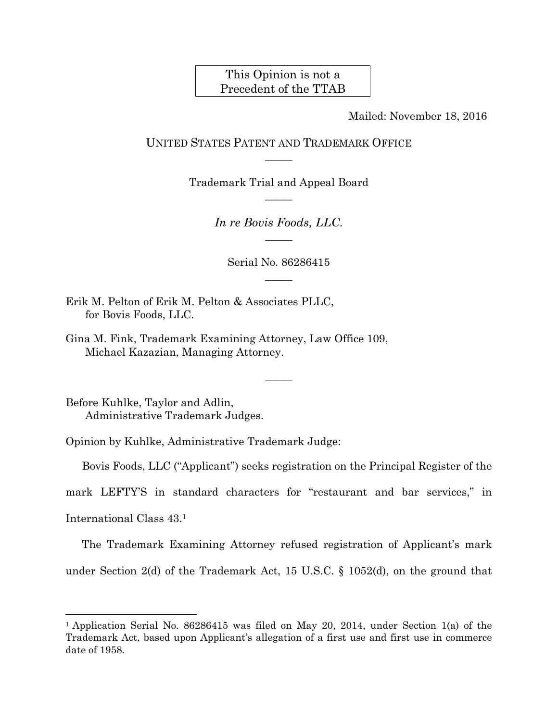# This Opinion is not a Precedent of the TTAB

Mailed: November 18, 2016

UNITED STATES PATENT AND TRADEMARK OFFICE  $\overline{\phantom{a}}$ 

> Trademark Trial and Appeal Board  $\overline{\phantom{a}}$

> > *In re Bovis Foods, LLC.*   $\overline{\phantom{a}}$

> > > Serial No. 86286415  $\overline{\phantom{a}}$

Erik M. Pelton of Erik M. Pelton & Associates PLLC, for Bovis Foods, LLC.

Gina M. Fink, Trademark Examining Attorney, Law Office 109, Michael Kazazian, Managing Attorney.

Before Kuhlke, Taylor and Adlin, Administrative Trademark Judges.

Opinion by Kuhlke, Administrative Trademark Judge:

Bovis Foods, LLC ("Applicant") seeks registration on the Principal Register of the

 $\overline{\phantom{a}}$ 

mark LEFTY'S in standard characters for "restaurant and bar services," in

International Class 43.1

 $\overline{a}$ 

The Trademark Examining Attorney refused registration of Applicant's mark

under Section 2(d) of the Trademark Act, 15 U.S.C. § 1052(d), on the ground that

<sup>&</sup>lt;sup>1</sup> Application Serial No. 86286415 was filed on May 20, 2014, under Section 1(a) of the Trademark Act, based upon Applicant's allegation of a first use and first use in commerce date of 1958.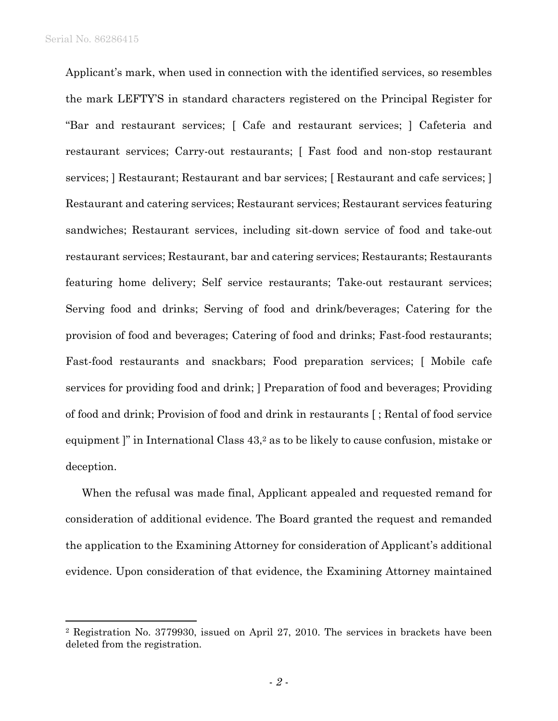$\overline{a}$ 

Applicant's mark, when used in connection with the identified services, so resembles the mark LEFTY'S in standard characters registered on the Principal Register for "Bar and restaurant services; [ Cafe and restaurant services; ] Cafeteria and restaurant services; Carry-out restaurants; [ Fast food and non-stop restaurant services; ] Restaurant; Restaurant and bar services; [ Restaurant and cafe services; ] Restaurant and catering services; Restaurant services; Restaurant services featuring sandwiches; Restaurant services, including sit-down service of food and take-out restaurant services; Restaurant, bar and catering services; Restaurants; Restaurants featuring home delivery; Self service restaurants; Take-out restaurant services; Serving food and drinks; Serving of food and drink/beverages; Catering for the provision of food and beverages; Catering of food and drinks; Fast-food restaurants; Fast-food restaurants and snackbars; Food preparation services; [ Mobile cafe services for providing food and drink; ] Preparation of food and beverages; Providing of food and drink; Provision of food and drink in restaurants [ ; Rental of food service equipment ]" in International Class  $43<sup>2</sup>$  as to be likely to cause confusion, mistake or deception.

When the refusal was made final, Applicant appealed and requested remand for consideration of additional evidence. The Board granted the request and remanded the application to the Examining Attorney for consideration of Applicant's additional evidence. Upon consideration of that evidence, the Examining Attorney maintained

<sup>2</sup> Registration No. 3779930, issued on April 27, 2010. The services in brackets have been deleted from the registration.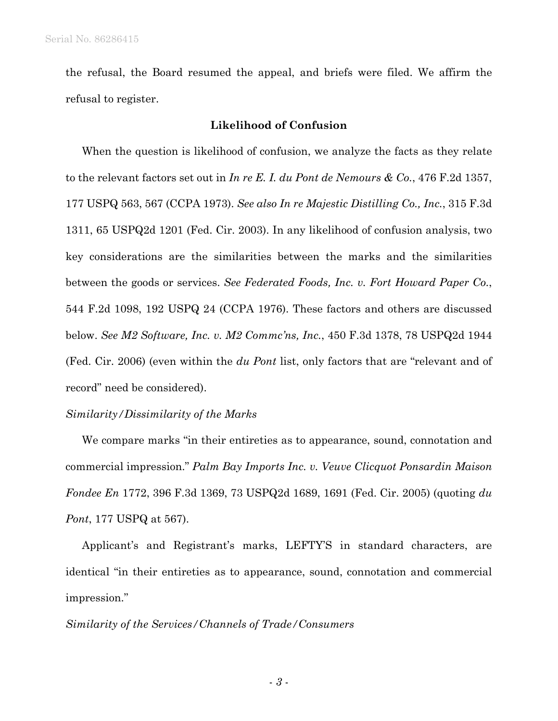the refusal, the Board resumed the appeal, and briefs were filed. We affirm the refusal to register.

### **Likelihood of Confusion**

When the question is likelihood of confusion, we analyze the facts as they relate to the relevant factors set out in *In re E. I. du Pont de Nemours & Co.*, 476 F.2d 1357, 177 USPQ 563, 567 (CCPA 1973). *See also In re Majestic Distilling Co., Inc.*, 315 F.3d 1311, 65 USPQ2d 1201 (Fed. Cir. 2003). In any likelihood of confusion analysis, two key considerations are the similarities between the marks and the similarities between the goods or services. *See Federated Foods, Inc. v. Fort Howard Paper Co.*, 544 F.2d 1098, 192 USPQ 24 (CCPA 1976). These factors and others are discussed below. *See M2 Software, Inc. v. M2 Commc'ns, Inc.*, 450 F.3d 1378, 78 USPQ2d 1944 (Fed. Cir. 2006) (even within the *du Pont* list, only factors that are "relevant and of record" need be considered).

#### *Similarity/Dissimilarity of the Marks*

We compare marks "in their entireties as to appearance, sound, connotation and commercial impression." *Palm Bay Imports Inc. v. Veuve Clicquot Ponsardin Maison Fondee En* 1772, 396 F.3d 1369, 73 USPQ2d 1689, 1691 (Fed. Cir. 2005) (quoting *du Pont*, 177 USPQ at 567).

Applicant's and Registrant's marks, LEFTY'S in standard characters, are identical "in their entireties as to appearance, sound, connotation and commercial impression."

#### *Similarity of the Services/Channels of Trade/Consumers*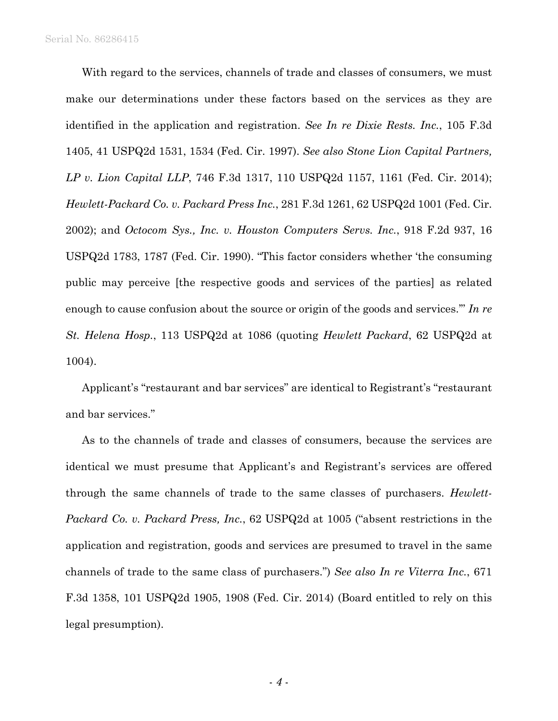Serial No. 86286415

With regard to the services, channels of trade and classes of consumers, we must make our determinations under these factors based on the services as they are identified in the application and registration. *See In re Dixie Rests. Inc.*, 105 F.3d 1405, 41 USPQ2d 1531, 1534 (Fed. Cir. 1997). *See also Stone Lion Capital Partners, LP v. Lion Capital LLP*, 746 F.3d 1317, 110 USPQ2d 1157, 1161 (Fed. Cir. 2014); *Hewlett-Packard Co. v. Packard Press Inc.*, 281 F.3d 1261, 62 USPQ2d 1001 (Fed. Cir. 2002); and *Octocom Sys., Inc. v. Houston Computers Servs. Inc.*, 918 F.2d 937, 16 USPQ2d 1783, 1787 (Fed. Cir. 1990). "This factor considers whether 'the consuming public may perceive [the respective goods and services of the parties] as related enough to cause confusion about the source or origin of the goods and services.'" *In re St. Helena Hosp.*, 113 USPQ2d at 1086 (quoting *Hewlett Packard*, 62 USPQ2d at 1004).

Applicant's "restaurant and bar services" are identical to Registrant's "restaurant and bar services."

As to the channels of trade and classes of consumers, because the services are identical we must presume that Applicant's and Registrant's services are offered through the same channels of trade to the same classes of purchasers. *Hewlett-Packard Co. v. Packard Press, Inc.*, 62 USPQ2d at 1005 ("absent restrictions in the application and registration, goods and services are presumed to travel in the same channels of trade to the same class of purchasers.") *See also In re Viterra Inc.*, 671 F.3d 1358, 101 USPQ2d 1905, 1908 (Fed. Cir. 2014) (Board entitled to rely on this legal presumption).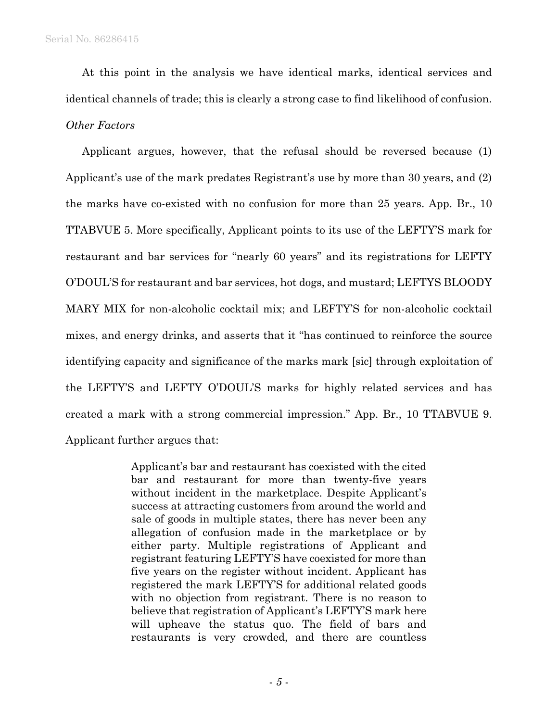At this point in the analysis we have identical marks, identical services and identical channels of trade; this is clearly a strong case to find likelihood of confusion. *Other Factors* 

Applicant argues, however, that the refusal should be reversed because (1) Applicant's use of the mark predates Registrant's use by more than 30 years, and (2) the marks have co-existed with no confusion for more than 25 years. App. Br., 10 TTABVUE 5. More specifically, Applicant points to its use of the LEFTY'S mark for restaurant and bar services for "nearly 60 years" and its registrations for LEFTY O'DOUL'S for restaurant and bar services, hot dogs, and mustard; LEFTYS BLOODY MARY MIX for non-alcoholic cocktail mix; and LEFTY'S for non-alcoholic cocktail mixes, and energy drinks, and asserts that it "has continued to reinforce the source identifying capacity and significance of the marks mark [sic] through exploitation of the LEFTY'S and LEFTY O'DOUL'S marks for highly related services and has created a mark with a strong commercial impression." App. Br., 10 TTABVUE 9. Applicant further argues that:

> Applicant's bar and restaurant has coexisted with the cited bar and restaurant for more than twenty-five years without incident in the marketplace. Despite Applicant's success at attracting customers from around the world and sale of goods in multiple states, there has never been any allegation of confusion made in the marketplace or by either party. Multiple registrations of Applicant and registrant featuring LEFTY'S have coexisted for more than five years on the register without incident. Applicant has registered the mark LEFTY'S for additional related goods with no objection from registrant. There is no reason to believe that registration of Applicant's LEFTY'S mark here will upheave the status quo. The field of bars and restaurants is very crowded, and there are countless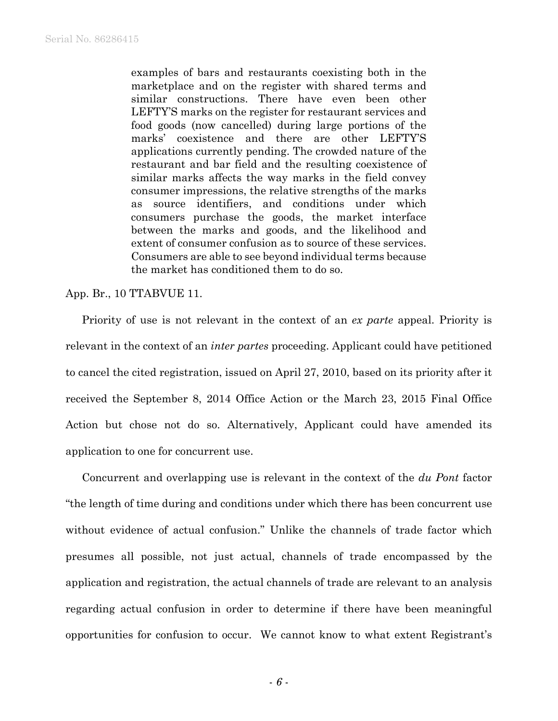examples of bars and restaurants coexisting both in the marketplace and on the register with shared terms and similar constructions. There have even been other LEFTY'S marks on the register for restaurant services and food goods (now cancelled) during large portions of the marks' coexistence and there are other LEFTY'S applications currently pending. The crowded nature of the restaurant and bar field and the resulting coexistence of similar marks affects the way marks in the field convey consumer impressions, the relative strengths of the marks as source identifiers, and conditions under which consumers purchase the goods, the market interface between the marks and goods, and the likelihood and extent of consumer confusion as to source of these services. Consumers are able to see beyond individual terms because the market has conditioned them to do so.

## App. Br., 10 TTABVUE 11.

Priority of use is not relevant in the context of an *ex parte* appeal. Priority is relevant in the context of an *inter partes* proceeding. Applicant could have petitioned to cancel the cited registration, issued on April 27, 2010, based on its priority after it received the September 8, 2014 Office Action or the March 23, 2015 Final Office Action but chose not do so. Alternatively, Applicant could have amended its application to one for concurrent use.

Concurrent and overlapping use is relevant in the context of the *du Pont* factor "the length of time during and conditions under which there has been concurrent use without evidence of actual confusion." Unlike the channels of trade factor which presumes all possible, not just actual, channels of trade encompassed by the application and registration, the actual channels of trade are relevant to an analysis regarding actual confusion in order to determine if there have been meaningful opportunities for confusion to occur. We cannot know to what extent Registrant's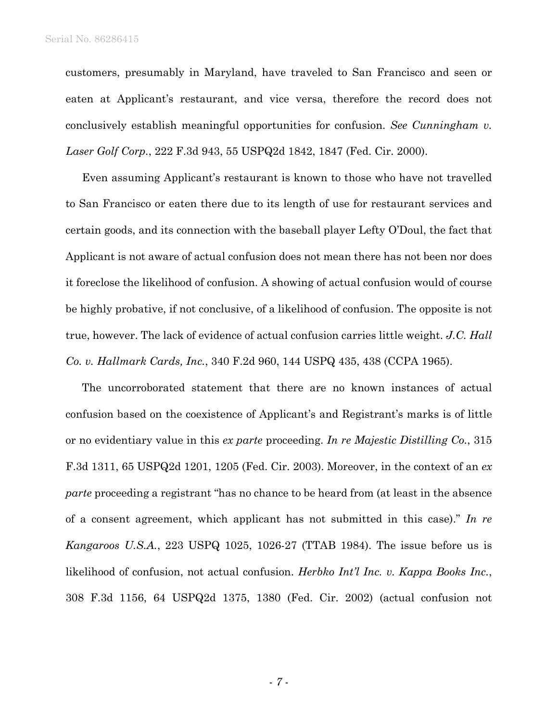customers, presumably in Maryland, have traveled to San Francisco and seen or eaten at Applicant's restaurant, and vice versa, therefore the record does not conclusively establish meaningful opportunities for confusion. *See Cunningham v. Laser Golf Corp.*, 222 F.3d 943, 55 USPQ2d 1842, 1847 (Fed. Cir. 2000).

Even assuming Applicant's restaurant is known to those who have not travelled to San Francisco or eaten there due to its length of use for restaurant services and certain goods, and its connection with the baseball player Lefty O'Doul, the fact that Applicant is not aware of actual confusion does not mean there has not been nor does it foreclose the likelihood of confusion. A showing of actual confusion would of course be highly probative, if not conclusive, of a likelihood of confusion. The opposite is not true, however. The lack of evidence of actual confusion carries little weight. *J.C. Hall Co. v. Hallmark Cards, Inc.*, 340 F.2d 960, 144 USPQ 435, 438 (CCPA 1965).

The uncorroborated statement that there are no known instances of actual confusion based on the coexistence of Applicant's and Registrant's marks is of little or no evidentiary value in this *ex parte* proceeding. *In re Majestic Distilling Co.*, 315 F.3d 1311, 65 USPQ2d 1201, 1205 (Fed. Cir. 2003). Moreover, in the context of an *ex parte* proceeding a registrant "has no chance to be heard from (at least in the absence of a consent agreement, which applicant has not submitted in this case)." *In re Kangaroos U.S.A.*, 223 USPQ 1025, 1026-27 (TTAB 1984). The issue before us is likelihood of confusion, not actual confusion. *Herbko Int'l Inc. v. Kappa Books Inc.*, 308 F.3d 1156, 64 USPQ2d 1375, 1380 (Fed. Cir. 2002) (actual confusion not